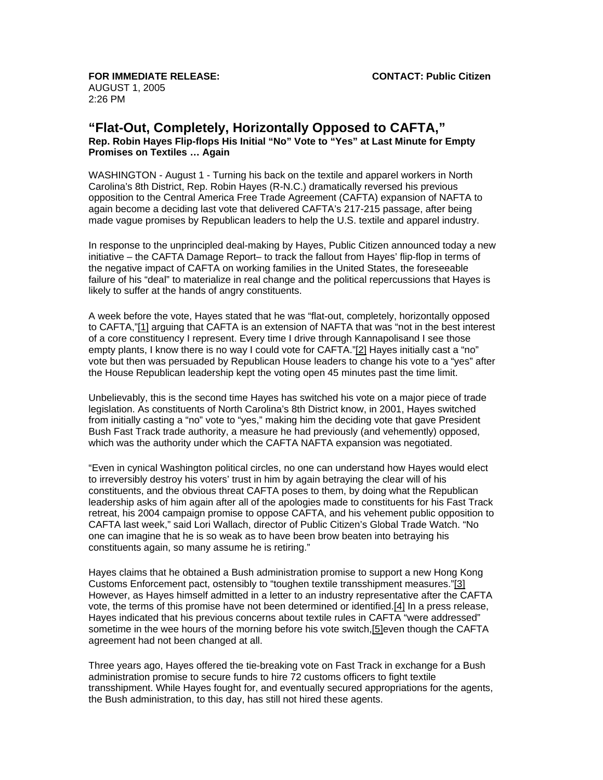**FOR IMMEDIATE RELEASE: CONTACT: Public Citizen** AUGUST 1, 2005 2:26 PM

## **"Flat-Out, Completely, Horizontally Opposed to CAFTA," Rep. Robin Hayes Flip-flops His Initial "No" Vote to "Yes" at Last Minute for Empty Promises on Textiles … Again**

WASHINGTON - August 1 - Turning his back on the textile and apparel workers in North Carolina's 8th District, Rep. Robin Hayes (R-N.C.) dramatically reversed his previous opposition to the Central America Free Trade Agreement (CAFTA) expansion of NAFTA to again become a deciding last vote that delivered CAFTA's 217-215 passage, after being made vague promises by Republican leaders to help the U.S. textile and apparel industry.

In response to the unprincipled deal-making by Hayes, Public Citizen announced today a new initiative – the CAFTA Damage Report– to track the fallout from Hayes' flip-flop in terms of the negative impact of CAFTA on working families in the United States, the foreseeable failure of his "deal" to materialize in real change and the political repercussions that Hayes is likely to suffer at the hands of angry constituents.

A week before the vote, Hayes stated that he was "flat-out, completely, horizontally opposed to CAFTA,"[1] arguing that CAFTA is an extension of NAFTA that was "not in the best interest of a core constituency I represent. Every time I drive through Kannapolisand I see those empty plants, I know there is no way I could vote for CAFTA."[2] Hayes initially cast a "no" vote but then was persuaded by Republican House leaders to change his vote to a "yes" after the House Republican leadership kept the voting open 45 minutes past the time limit.

Unbelievably, this is the second time Hayes has switched his vote on a major piece of trade legislation. As constituents of North Carolina's 8th District know, in 2001, Hayes switched from initially casting a "no" vote to "yes," making him the deciding vote that gave President Bush Fast Track trade authority, a measure he had previously (and vehemently) opposed, which was the authority under which the CAFTA NAFTA expansion was negotiated.

"Even in cynical Washington political circles, no one can understand how Hayes would elect to irreversibly destroy his voters' trust in him by again betraying the clear will of his constituents, and the obvious threat CAFTA poses to them, by doing what the Republican leadership asks of him again after all of the apologies made to constituents for his Fast Track retreat, his 2004 campaign promise to oppose CAFTA, and his vehement public opposition to CAFTA last week," said Lori Wallach, director of Public Citizen's Global Trade Watch. "No one can imagine that he is so weak as to have been brow beaten into betraying his constituents again, so many assume he is retiring."

Hayes claims that he obtained a Bush administration promise to support a new Hong Kong Customs Enforcement pact, ostensibly to "toughen textile transshipment measures."[3] However, as Hayes himself admitted in a letter to an industry representative after the CAFTA vote, the terms of this promise have not been determined or identified.[4] In a press release, Hayes indicated that his previous concerns about textile rules in CAFTA "were addressed" sometime in the wee hours of the morning before his vote switch, [5] even though the CAFTA agreement had not been changed at all.

Three years ago, Hayes offered the tie-breaking vote on Fast Track in exchange for a Bush administration promise to secure funds to hire 72 customs officers to fight textile transshipment. While Hayes fought for, and eventually secured appropriations for the agents, the Bush administration, to this day, has still not hired these agents.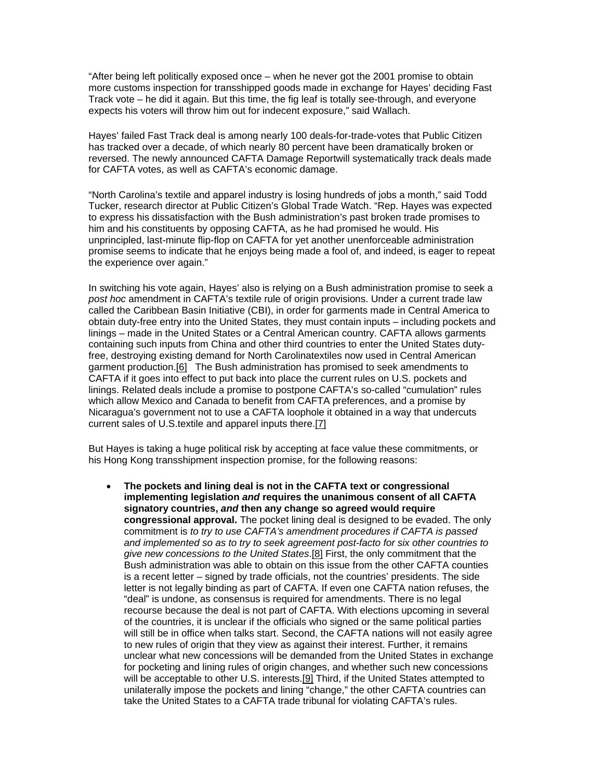"After being left politically exposed once – when he never got the 2001 promise to obtain more customs inspection for transshipped goods made in exchange for Hayes' deciding Fast Track vote – he did it again. But this time, the fig leaf is totally see-through, and everyone expects his voters will throw him out for indecent exposure," said Wallach.

Hayes' failed Fast Track deal is among nearly 100 deals-for-trade-votes that Public Citizen has tracked over a decade, of which nearly 80 percent have been dramatically broken or reversed. The newly announced CAFTA Damage Reportwill systematically track deals made for CAFTA votes, as well as CAFTA's economic damage.

"North Carolina's textile and apparel industry is losing hundreds of jobs a month," said Todd Tucker, research director at Public Citizen's Global Trade Watch. "Rep. Hayes was expected to express his dissatisfaction with the Bush administration's past broken trade promises to him and his constituents by opposing CAFTA, as he had promised he would. His unprincipled, last-minute flip-flop on CAFTA for yet another unenforceable administration promise seems to indicate that he enjoys being made a fool of, and indeed, is eager to repeat the experience over again."

In switching his vote again, Hayes' also is relying on a Bush administration promise to seek a *post hoc* amendment in CAFTA's textile rule of origin provisions. Under a current trade law called the Caribbean Basin Initiative (CBI), in order for garments made in Central America to obtain duty-free entry into the United States, they must contain inputs – including pockets and linings – made in the United States or a Central American country. CAFTA allows garments containing such inputs from China and other third countries to enter the United States dutyfree, destroying existing demand for North Carolinatextiles now used in Central American garment production.[6] The Bush administration has promised to seek amendments to CAFTA if it goes into effect to put back into place the current rules on U.S. pockets and linings. Related deals include a promise to postpone CAFTA's so-called "cumulation" rules which allow Mexico and Canada to benefit from CAFTA preferences, and a promise by Nicaragua's government not to use a CAFTA loophole it obtained in a way that undercuts current sales of U.S.textile and apparel inputs there.[7]

But Hayes is taking a huge political risk by accepting at face value these commitments, or his Hong Kong transshipment inspection promise, for the following reasons:

• **The pockets and lining deal is not in the CAFTA text or congressional implementing legislation** *and* **requires the unanimous consent of all CAFTA signatory countries,** *and* **then any change so agreed would require congressional approval.** The pocket lining deal is designed to be evaded. The only commitment is *to try to use CAFTA's amendment procedures if CAFTA is passed and implemented so as to try to seek agreement post-facto for six other countries to give new concessions to the United States*.[8] First, the only commitment that the Bush administration was able to obtain on this issue from the other CAFTA counties is a recent letter – signed by trade officials, not the countries' presidents. The side letter is not legally binding as part of CAFTA. If even one CAFTA nation refuses, the "deal" is undone, as consensus is required for amendments. There is no legal recourse because the deal is not part of CAFTA. With elections upcoming in several of the countries, it is unclear if the officials who signed or the same political parties will still be in office when talks start. Second, the CAFTA nations will not easily agree to new rules of origin that they view as against their interest. Further, it remains unclear what new concessions will be demanded from the United States in exchange for pocketing and lining rules of origin changes, and whether such new concessions will be acceptable to other U.S. interests.[9] Third, if the United States attempted to unilaterally impose the pockets and lining "change," the other CAFTA countries can take the United States to a CAFTA trade tribunal for violating CAFTA's rules.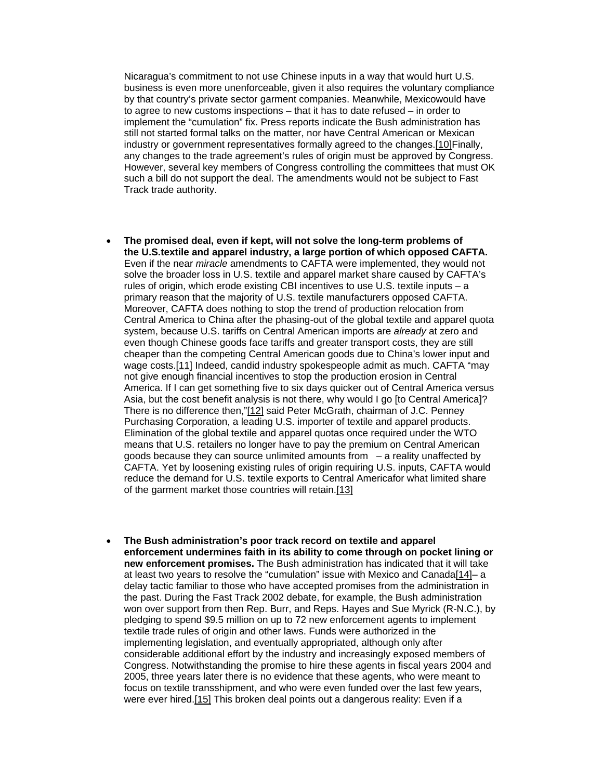Nicaragua's commitment to not use Chinese inputs in a way that would hurt U.S. business is even more unenforceable, given it also requires the voluntary compliance by that country's private sector garment companies. Meanwhile, Mexicowould have to agree to new customs inspections – that it has to date refused – in order to implement the "cumulation" fix. Press reports indicate the Bush administration has still not started formal talks on the matter, nor have Central American or Mexican industry or government representatives formally agreed to the changes.[10]Finally, any changes to the trade agreement's rules of origin must be approved by Congress. However, several key members of Congress controlling the committees that must OK such a bill do not support the deal. The amendments would not be subject to Fast Track trade authority.

- **The promised deal, even if kept, will not solve the long-term problems of the U.S.textile and apparel industry, a large portion of which opposed CAFTA.** Even if the near *miracle* amendments to CAFTA were implemented, they would not solve the broader loss in U.S. textile and apparel market share caused by CAFTA's rules of origin, which erode existing CBI incentives to use U.S. textile inputs – a primary reason that the majority of U.S. textile manufacturers opposed CAFTA. Moreover, CAFTA does nothing to stop the trend of production relocation from Central America to China after the phasing-out of the global textile and apparel quota system, because U.S. tariffs on Central American imports are *already* at zero and even though Chinese goods face tariffs and greater transport costs, they are still cheaper than the competing Central American goods due to China's lower input and wage costs.[11] Indeed, candid industry spokespeople admit as much. CAFTA "may not give enough financial incentives to stop the production erosion in Central America. If I can get something five to six days quicker out of Central America versus Asia, but the cost benefit analysis is not there, why would I go [to Central America]? There is no difference then,"[12] said Peter McGrath, chairman of J.C. Penney Purchasing Corporation, a leading U.S. importer of textile and apparel products. Elimination of the global textile and apparel quotas once required under the WTO means that U.S. retailers no longer have to pay the premium on Central American goods because they can source unlimited amounts from  $-$  a reality unaffected by CAFTA. Yet by loosening existing rules of origin requiring U.S. inputs, CAFTA would reduce the demand for U.S. textile exports to Central Americafor what limited share of the garment market those countries will retain.[13]
- **The Bush administration's poor track record on textile and apparel enforcement undermines faith in its ability to come through on pocket lining or new enforcement promises.** The Bush administration has indicated that it will take at least two years to resolve the "cumulation" issue with Mexico and Canada[14]– a delay tactic familiar to those who have accepted promises from the administration in the past. During the Fast Track 2002 debate, for example, the Bush administration won over support from then Rep. Burr, and Reps. Hayes and Sue Myrick (R-N.C.), by pledging to spend \$9.5 million on up to 72 new enforcement agents to implement textile trade rules of origin and other laws. Funds were authorized in the implementing legislation, and eventually appropriated, although only after considerable additional effort by the industry and increasingly exposed members of Congress. Notwithstanding the promise to hire these agents in fiscal years 2004 and 2005, three years later there is no evidence that these agents, who were meant to focus on textile transshipment, and who were even funded over the last few years, were ever hired.[15] This broken deal points out a dangerous reality: Even if a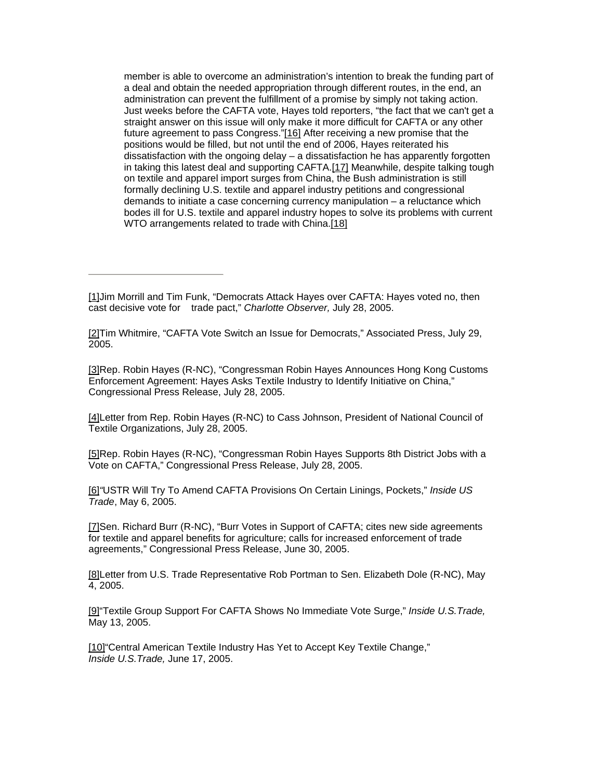member is able to overcome an administration's intention to break the funding part of a deal and obtain the needed appropriation through different routes, in the end, an administration can prevent the fulfillment of a promise by simply not taking action. Just weeks before the CAFTA vote, Hayes told reporters, "the fact that we can't get a straight answer on this issue will only make it more difficult for CAFTA or any other future agreement to pass Congress."[16] After receiving a new promise that the positions would be filled, but not until the end of 2006, Hayes reiterated his dissatisfaction with the ongoing delay  $-$  a dissatisfaction he has apparently forgotten in taking this latest deal and supporting CAFTA.[17] Meanwhile, despite talking tough on textile and apparel import surges from China, the Bush administration is still formally declining U.S. textile and apparel industry petitions and congressional demands to initiate a case concerning currency manipulation – a reluctance which bodes ill for U.S. textile and apparel industry hopes to solve its problems with current WTO arrangements related to trade with China.[18]

[2]Tim Whitmire, "CAFTA Vote Switch an Issue for Democrats," Associated Press, July 29, 2005.

[3]Rep. Robin Hayes (R-NC), "Congressman Robin Hayes Announces Hong Kong Customs Enforcement Agreement: Hayes Asks Textile Industry to Identify Initiative on China," Congressional Press Release, July 28, 2005.

[4]Letter from Rep. Robin Hayes (R-NC) to Cass Johnson, President of National Council of Textile Organizations, July 28, 2005.

[5]Rep. Robin Hayes (R-NC), "Congressman Robin Hayes Supports 8th District Jobs with a Vote on CAFTA," Congressional Press Release, July 28, 2005.

[6]*"*USTR Will Try To Amend CAFTA Provisions On Certain Linings, Pockets," *Inside US Trade*, May 6, 2005.

[7]Sen. Richard Burr (R-NC), "Burr Votes in Support of CAFTA; cites new side agreements for textile and apparel benefits for agriculture; calls for increased enforcement of trade agreements," Congressional Press Release, June 30, 2005.

[8]Letter from U.S. Trade Representative Rob Portman to Sen. Elizabeth Dole (R-NC), May 4, 2005.

[9]"Textile Group Support For CAFTA Shows No Immediate Vote Surge," *Inside U.S.Trade,* May 13, 2005.

[10] "Central American Textile Industry Has Yet to Accept Key Textile Change," *Inside U.S.Trade,* June 17, 2005.

<sup>[1]</sup>Jim Morrill and Tim Funk, "Democrats Attack Hayes over CAFTA: Hayes voted no, then cast decisive vote for trade pact," *Charlotte Observer,* July 28, 2005.